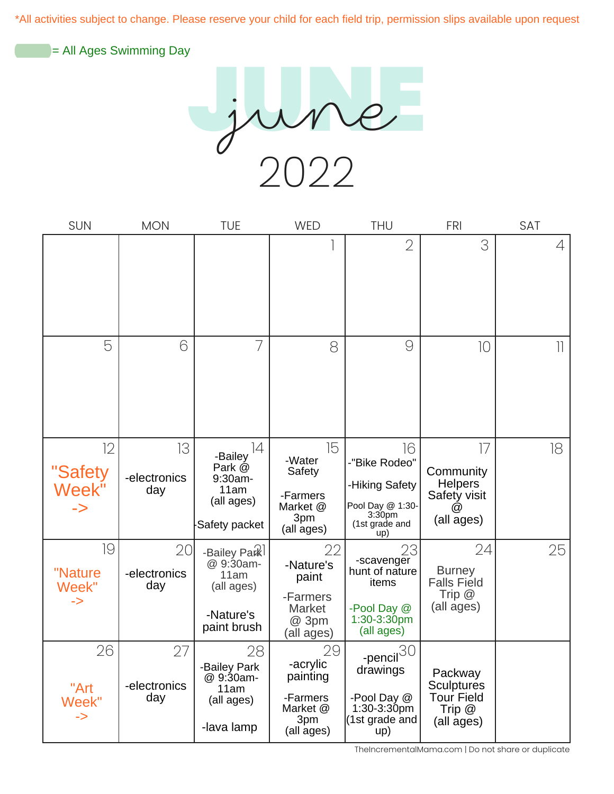\*All activities subject to change. Please reserve your child for each field trip, permission slips available upon request

= All Ages Swimming Day

2022 JUNE june

| <b>SUN</b>                           | <b>MON</b>                | <b>TUE</b>                                                                  | <b>WED</b>                                                              | <b>THU</b>                                                                                               | <b>FRI</b>                                                                  | <b>SAT</b>         |
|--------------------------------------|---------------------------|-----------------------------------------------------------------------------|-------------------------------------------------------------------------|----------------------------------------------------------------------------------------------------------|-----------------------------------------------------------------------------|--------------------|
|                                      |                           |                                                                             |                                                                         | 2                                                                                                        | 3                                                                           | 4                  |
| 5                                    | 6                         | 7                                                                           | 8                                                                       | $\Theta$                                                                                                 | 10                                                                          | $\left  {}\right $ |
| 12<br>"Safety<br>Week"               | 13<br>-electronics<br>day | 14<br>-Bailey<br>Park @<br>9:30am-<br>11am<br>(all ages)<br>Safety packet   | 15<br>-Water<br>Safety<br>-Farmers<br>Market @<br>3pm<br>(all ages)     | 16<br>-"Bike Rodeo"<br>-Hiking Safety<br>Pool Day @ 1:30-<br>3:30 <sub>pm</sub><br>(1st grade and<br>up) | $\overline{7}$<br>Community<br><b>Helpers</b><br>Safety visit<br>(all ages) | 18                 |
| 19<br>"Nature<br>Week"<br>->         | 20<br>-electronics<br>day | -Bailey Park<br>@ 9:30am-<br>11am<br>(all ages)<br>-Nature's<br>paint brush | 22<br>-Nature's<br>paint<br>-Farmers<br>Market<br>@ 3pm<br>(all ages)   | 23<br>-scavenger<br>hunt of nature<br>items<br>-Pool Day @<br>$1:30 - 3:30$ pm<br>(all ages)             | 24<br><b>Burney</b><br><b>Falls Field</b><br>Trip $@$<br>(all ages)         | 25                 |
| 26<br>"Art<br>Week"<br>$\Rightarrow$ | 27<br>-electronics<br>day | 28<br>-Bailey Park<br>@ 9:30am-<br>11am<br>(all ages)<br>-lava lamp         | 29<br>-acrylic<br>painting<br>-Farmers<br>Market @<br>3pm<br>(all ages) | -pencil $30$<br>drawings<br>-Pool Day @<br>$1:30-3:30$ pm<br>(1st grade and<br>up)                       | Packway<br><b>Sculptures</b><br><b>Tour Field</b><br>Trip $@$<br>(all ages) |                    |

TheIncrementalMama.com | Do not share or duplicate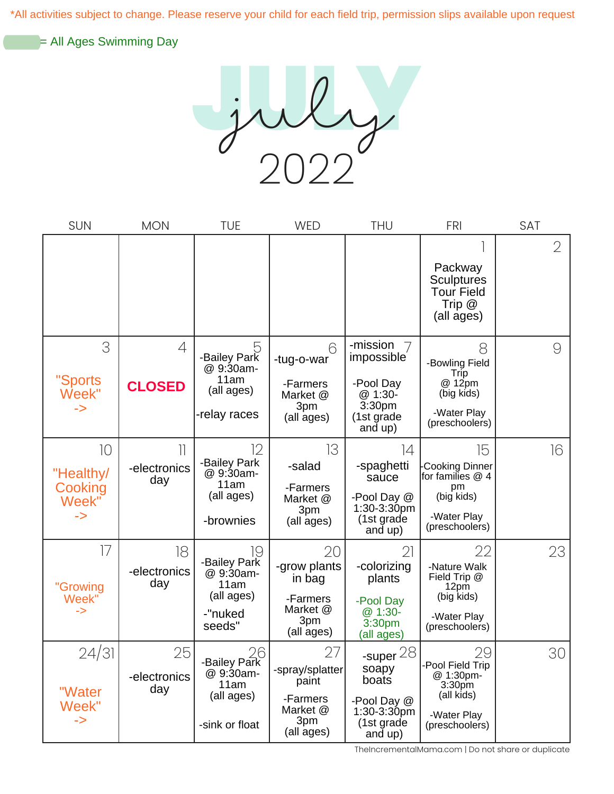\*All activities subject to change. Please reserve your child for each field trip, permission slips available upon request

= All Ages Swimming Day

2022 JULY july

| <b>SUN</b>                                | <b>MON</b>                                      | <b>TUE</b>                                                                 | <b>WED</b>                                                                  | <b>THU</b>                                                                                    | <b>FRI</b>                                                                                               | <b>SAT</b>     |
|-------------------------------------------|-------------------------------------------------|----------------------------------------------------------------------------|-----------------------------------------------------------------------------|-----------------------------------------------------------------------------------------------|----------------------------------------------------------------------------------------------------------|----------------|
|                                           |                                                 |                                                                            |                                                                             |                                                                                               | Packway<br><b>Sculptures</b><br><b>Tour Field</b><br>Trip $@$<br>(all ages)                              | $\overline{2}$ |
| 3<br>"Sports<br>Week"<br>$\rightarrow$    | 4<br><b>CLOSED</b>                              | 5<br>-Bailey Park<br>@ 9:30am-<br>11am<br>(all ages)<br>-relay races       | 6<br>-tug-o-war<br>-Farmers<br>Market @<br>3pm<br>(all ages)                | -mission<br>7<br><i>impossible</i><br>-Pool Day<br>@ 1:30-<br>3:30pm<br>(1st grade<br>and up) | 8<br>-Bowling Field<br>Trip<br>@ 12pm<br>(big kids)<br>-Water Play<br>(preschoolers)                     | 9              |
| 10<br>"Healthy/<br>Cooking<br>Week"<br>-> | $\overline{\phantom{a}}$<br>-electronics<br>day | 12<br>-Bailey Park<br>@ 9:30am-<br>11am<br>(all ages)<br>-brownies         | 13<br>-salad<br>-Farmers<br>Market @<br>3pm<br>(all ages)                   | $\overline{14}$<br>-spaghetti<br>sauce<br>-Pool Day @<br>1:30-3:30pm<br>(1st grade<br>and up) | 15<br>Cooking Dinner<br>for families @ 4<br>pm<br>(big kids)<br>-Water Play<br>(preschoolers)            | 16             |
| 17<br>"Growing<br>Week"<br>->             | 18<br>-electronics<br>day                       | 19<br>-Bailey Park<br>@ 9:30am-<br>11am<br>(all ages)<br>-"nuked<br>seeds" | 20<br>-grow plants<br>in bag<br>-Farmers<br>Market @<br>3pm<br>(all ages)   | 21<br>-colorizing<br>plants<br>-Pool Day<br>$@1:30-$<br>3:30pm<br>(all ages)                  | 22<br>-Nature Walk<br>Field Trip @<br>12pm<br>(big kids)<br>-Water Play<br>(preschoolers)                | 23             |
| 24/31<br>"Water<br>Week"<br>$\Rightarrow$ | 25<br>-electronics<br>day                       | 26<br>Bailey Park-<br>@ 9:30am-<br>11am<br>(all ages)<br>-sink or float    | 27<br>-spray/splatter<br>paint<br>-Farmers<br>Market @<br>3pm<br>(all ages) | -super $28$<br>soapy<br>boats<br>-Pool Day @<br>$1:30-3:30$ pm<br>(1st grade<br>and up)       | 29<br>-Pool Field Trip<br>@ 1:30pm-<br>3:30 <sub>pm</sub><br>(all kids)<br>-Water Play<br>(preschoolers) | 30             |

TheIncrementalMama.com | Do not share or duplicate